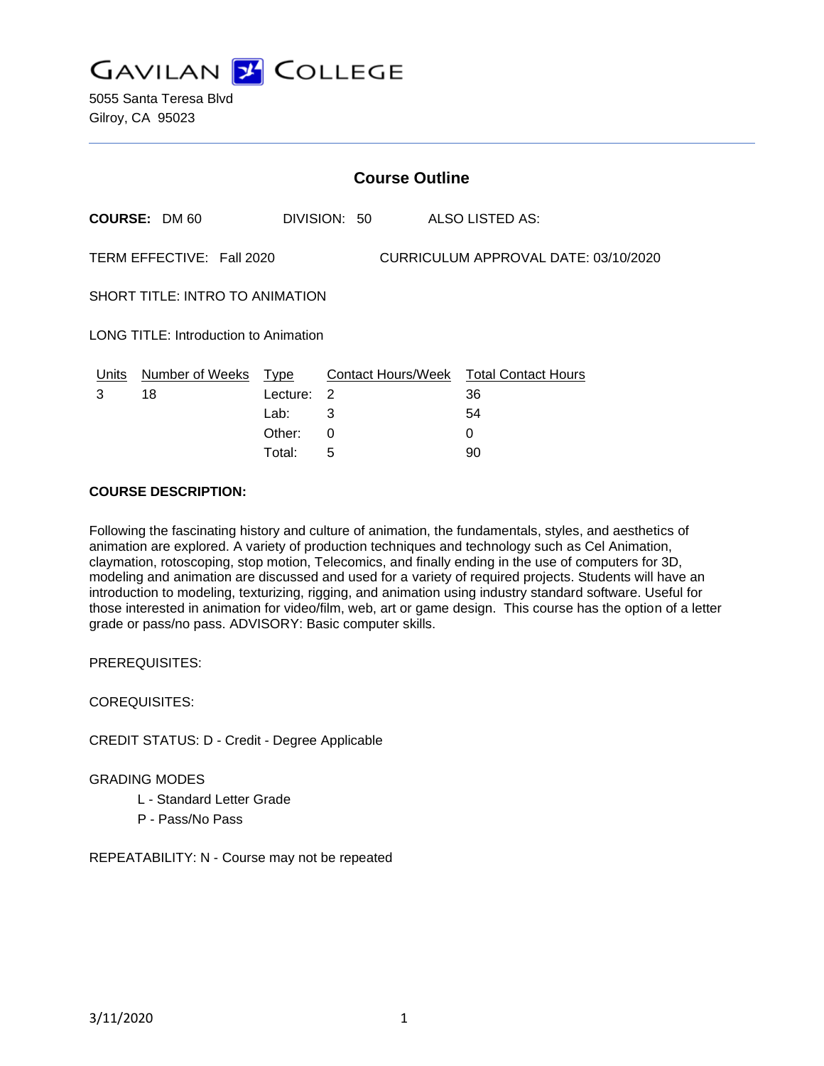

|                                                                   | <b>Course Outline</b>      |          |              |                                        |  |
|-------------------------------------------------------------------|----------------------------|----------|--------------|----------------------------------------|--|
|                                                                   | <b>COURSE: DM 60</b>       |          | DIVISION: 50 | ALSO LISTED AS:                        |  |
| CURRICULUM APPROVAL DATE: 03/10/2020<br>TERM EFFECTIVE: Fall 2020 |                            |          |              |                                        |  |
| SHORT TITLE: INTRO TO ANIMATION                                   |                            |          |              |                                        |  |
| <b>LONG TITLE: Introduction to Animation</b>                      |                            |          |              |                                        |  |
|                                                                   | Units Number of Weeks Type |          |              | Contact Hours/Week Total Contact Hours |  |
| 3                                                                 | 18                         | Lecture: | 2            | 36                                     |  |
|                                                                   |                            | Lab:     | 3            | 54                                     |  |
|                                                                   |                            | Other:   | 0            | $\Omega$                               |  |
|                                                                   |                            | Total:   | 5            | 90                                     |  |

#### **COURSE DESCRIPTION:**

Following the fascinating history and culture of animation, the fundamentals, styles, and aesthetics of animation are explored. A variety of production techniques and technology such as Cel Animation, claymation, rotoscoping, stop motion, Telecomics, and finally ending in the use of computers for 3D, modeling and animation are discussed and used for a variety of required projects. Students will have an introduction to modeling, texturizing, rigging, and animation using industry standard software. Useful for those interested in animation for video/film, web, art or game design. This course has the option of a letter grade or pass/no pass. ADVISORY: Basic computer skills.

PREREQUISITES:

COREQUISITES:

CREDIT STATUS: D - Credit - Degree Applicable

GRADING MODES

- L Standard Letter Grade
- P Pass/No Pass

REPEATABILITY: N - Course may not be repeated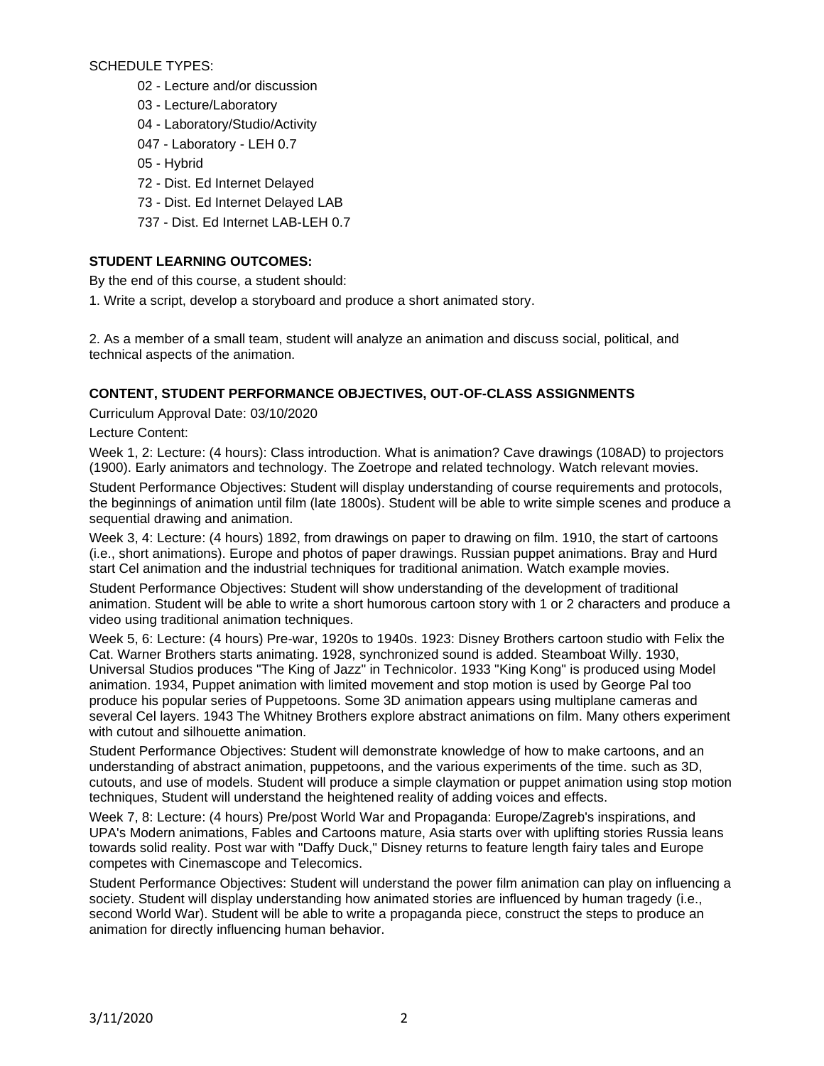SCHEDULE TYPES:

- 02 Lecture and/or discussion
- 03 Lecture/Laboratory
- 04 Laboratory/Studio/Activity
- 047 Laboratory LEH 0.7
- 05 Hybrid
- 72 Dist. Ed Internet Delayed
- 73 Dist. Ed Internet Delayed LAB
- 737 Dist. Ed Internet LAB-LEH 0.7

# **STUDENT LEARNING OUTCOMES:**

By the end of this course, a student should:

1. Write a script, develop a storyboard and produce a short animated story.

2. As a member of a small team, student will analyze an animation and discuss social, political, and technical aspects of the animation.

## **CONTENT, STUDENT PERFORMANCE OBJECTIVES, OUT-OF-CLASS ASSIGNMENTS**

Curriculum Approval Date: 03/10/2020

Lecture Content:

Week 1, 2: Lecture: (4 hours): Class introduction. What is animation? Cave drawings (108AD) to projectors (1900). Early animators and technology. The Zoetrope and related technology. Watch relevant movies.

Student Performance Objectives: Student will display understanding of course requirements and protocols, the beginnings of animation until film (late 1800s). Student will be able to write simple scenes and produce a sequential drawing and animation.

Week 3, 4: Lecture: (4 hours) 1892, from drawings on paper to drawing on film. 1910, the start of cartoons (i.e., short animations). Europe and photos of paper drawings. Russian puppet animations. Bray and Hurd start Cel animation and the industrial techniques for traditional animation. Watch example movies.

Student Performance Objectives: Student will show understanding of the development of traditional animation. Student will be able to write a short humorous cartoon story with 1 or 2 characters and produce a video using traditional animation techniques.

Week 5, 6: Lecture: (4 hours) Pre-war, 1920s to 1940s. 1923: Disney Brothers cartoon studio with Felix the Cat. Warner Brothers starts animating. 1928, synchronized sound is added. Steamboat Willy. 1930, Universal Studios produces "The King of Jazz" in Technicolor. 1933 "King Kong" is produced using Model animation. 1934, Puppet animation with limited movement and stop motion is used by George Pal too produce his popular series of Puppetoons. Some 3D animation appears using multiplane cameras and several Cel layers. 1943 The Whitney Brothers explore abstract animations on film. Many others experiment with cutout and silhouette animation.

Student Performance Objectives: Student will demonstrate knowledge of how to make cartoons, and an understanding of abstract animation, puppetoons, and the various experiments of the time. such as 3D, cutouts, and use of models. Student will produce a simple claymation or puppet animation using stop motion techniques, Student will understand the heightened reality of adding voices and effects.

Week 7, 8: Lecture: (4 hours) Pre/post World War and Propaganda: Europe/Zagreb's inspirations, and UPA's Modern animations, Fables and Cartoons mature, Asia starts over with uplifting stories Russia leans towards solid reality. Post war with "Daffy Duck," Disney returns to feature length fairy tales and Europe competes with Cinemascope and Telecomics.

Student Performance Objectives: Student will understand the power film animation can play on influencing a society. Student will display understanding how animated stories are influenced by human tragedy (i.e., second World War). Student will be able to write a propaganda piece, construct the steps to produce an animation for directly influencing human behavior.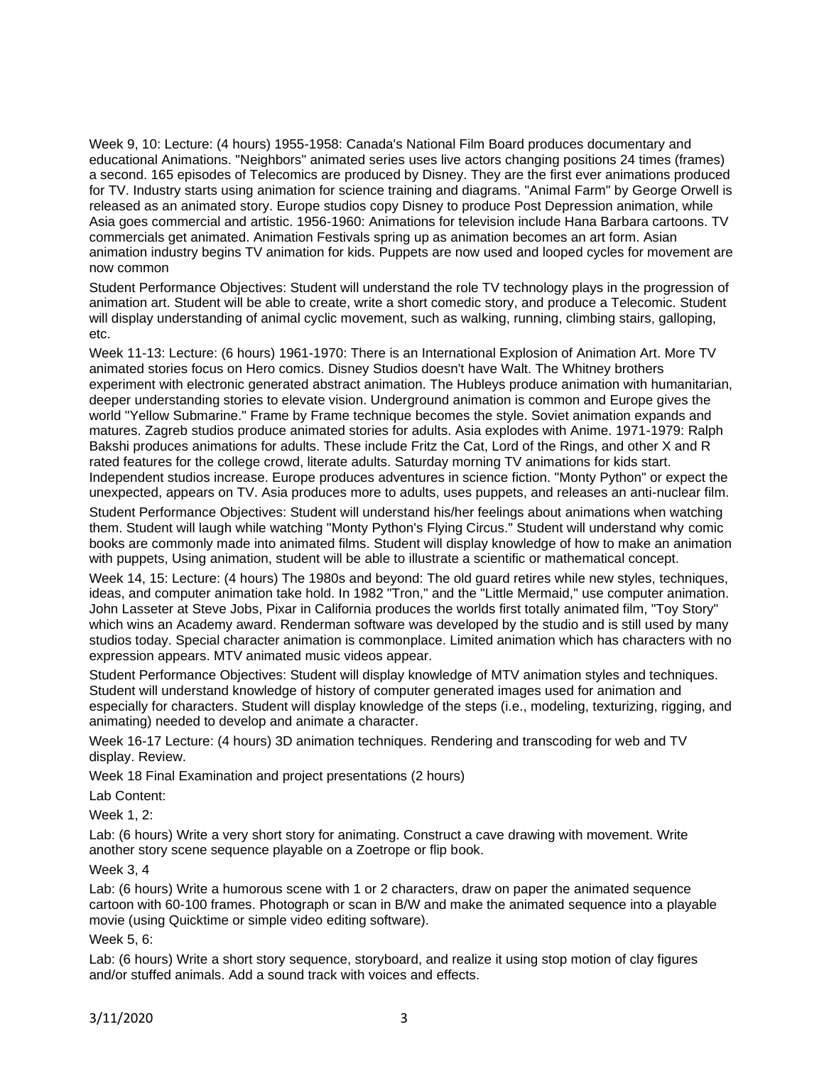Week 9, 10: Lecture: (4 hours) 1955-1958: Canada's National Film Board produces documentary and educational Animations. "Neighbors" animated series uses live actors changing positions 24 times (frames) a second. 165 episodes of Telecomics are produced by Disney. They are the first ever animations produced for TV. Industry starts using animation for science training and diagrams. "Animal Farm" by George Orwell is released as an animated story. Europe studios copy Disney to produce Post Depression animation, while Asia goes commercial and artistic. 1956-1960: Animations for television include Hana Barbara cartoons. TV commercials get animated. Animation Festivals spring up as animation becomes an art form. Asian animation industry begins TV animation for kids. Puppets are now used and looped cycles for movement are now common

Student Performance Objectives: Student will understand the role TV technology plays in the progression of animation art. Student will be able to create, write a short comedic story, and produce a Telecomic. Student will display understanding of animal cyclic movement, such as walking, running, climbing stairs, galloping, etc.

Week 11-13: Lecture: (6 hours) 1961-1970: There is an International Explosion of Animation Art. More TV animated stories focus on Hero comics. Disney Studios doesn't have Walt. The Whitney brothers experiment with electronic generated abstract animation. The Hubleys produce animation with humanitarian, deeper understanding stories to elevate vision. Underground animation is common and Europe gives the world "Yellow Submarine." Frame by Frame technique becomes the style. Soviet animation expands and matures. Zagreb studios produce animated stories for adults. Asia explodes with Anime. 1971-1979: Ralph Bakshi produces animations for adults. These include Fritz the Cat, Lord of the Rings, and other X and R rated features for the college crowd, literate adults. Saturday morning TV animations for kids start. Independent studios increase. Europe produces adventures in science fiction. "Monty Python" or expect the unexpected, appears on TV. Asia produces more to adults, uses puppets, and releases an anti-nuclear film.

Student Performance Objectives: Student will understand his/her feelings about animations when watching them. Student will laugh while watching "Monty Python's Flying Circus." Student will understand why comic books are commonly made into animated films. Student will display knowledge of how to make an animation with puppets, Using animation, student will be able to illustrate a scientific or mathematical concept.

Week 14, 15: Lecture: (4 hours) The 1980s and beyond: The old guard retires while new styles, techniques, ideas, and computer animation take hold. In 1982 "Tron," and the "Little Mermaid," use computer animation. John Lasseter at Steve Jobs, Pixar in California produces the worlds first totally animated film, "Toy Story" which wins an Academy award. Renderman software was developed by the studio and is still used by many studios today. Special character animation is commonplace. Limited animation which has characters with no expression appears. MTV animated music videos appear.

Student Performance Objectives: Student will display knowledge of MTV animation styles and techniques. Student will understand knowledge of history of computer generated images used for animation and especially for characters. Student will display knowledge of the steps (i.e., modeling, texturizing, rigging, and animating) needed to develop and animate a character.

Week 16-17 Lecture: (4 hours) 3D animation techniques. Rendering and transcoding for web and TV display. Review.

Week 18 Final Examination and project presentations (2 hours)

Lab Content:

Week 1, 2:

Lab: (6 hours) Write a very short story for animating. Construct a cave drawing with movement. Write another story scene sequence playable on a Zoetrope or flip book.

## Week 3, 4

Lab: (6 hours) Write a humorous scene with 1 or 2 characters, draw on paper the animated sequence cartoon with 60-100 frames. Photograph or scan in B/W and make the animated sequence into a playable movie (using Quicktime or simple video editing software).

## Week 5, 6:

Lab: (6 hours) Write a short story sequence, storyboard, and realize it using stop motion of clay figures and/or stuffed animals. Add a sound track with voices and effects.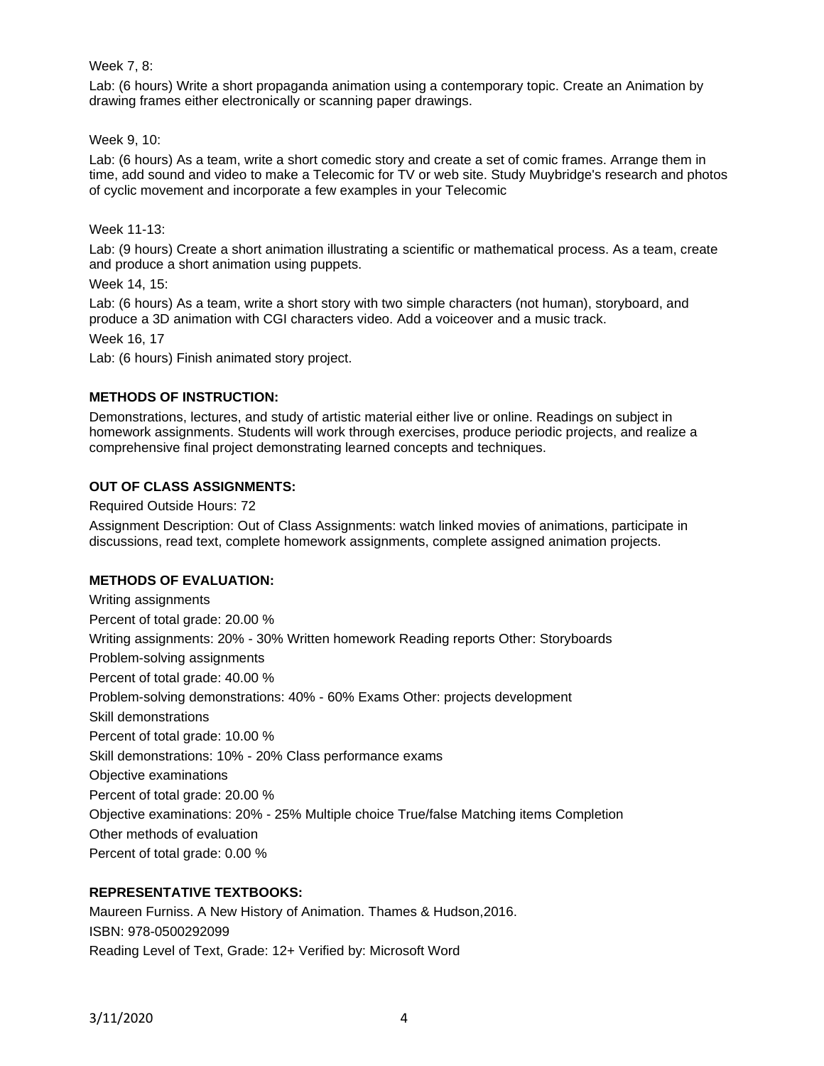## Week 7, 8:

Lab: (6 hours) Write a short propaganda animation using a contemporary topic. Create an Animation by drawing frames either electronically or scanning paper drawings.

#### Week 9, 10:

Lab: (6 hours) As a team, write a short comedic story and create a set of comic frames. Arrange them in time, add sound and video to make a Telecomic for TV or web site. Study Muybridge's research and photos of cyclic movement and incorporate a few examples in your Telecomic

#### Week 11-13:

Lab: (9 hours) Create a short animation illustrating a scientific or mathematical process. As a team, create and produce a short animation using puppets.

Week 14, 15:

Lab: (6 hours) As a team, write a short story with two simple characters (not human), storyboard, and produce a 3D animation with CGI characters video. Add a voiceover and a music track.

Week 16, 17

Lab: (6 hours) Finish animated story project.

## **METHODS OF INSTRUCTION:**

Demonstrations, lectures, and study of artistic material either live or online. Readings on subject in homework assignments. Students will work through exercises, produce periodic projects, and realize a comprehensive final project demonstrating learned concepts and techniques.

## **OUT OF CLASS ASSIGNMENTS:**

Required Outside Hours: 72

Assignment Description: Out of Class Assignments: watch linked movies of animations, participate in discussions, read text, complete homework assignments, complete assigned animation projects.

## **METHODS OF EVALUATION:**

Writing assignments Percent of total grade: 20.00 % Writing assignments: 20% - 30% Written homework Reading reports Other: Storyboards Problem-solving assignments Percent of total grade: 40.00 % Problem-solving demonstrations: 40% - 60% Exams Other: projects development Skill demonstrations Percent of total grade: 10.00 % Skill demonstrations: 10% - 20% Class performance exams Objective examinations Percent of total grade: 20.00 % Objective examinations: 20% - 25% Multiple choice True/false Matching items Completion Other methods of evaluation Percent of total grade: 0.00 %

## **REPRESENTATIVE TEXTBOOKS:**

Maureen Furniss. A New History of Animation. Thames & Hudson,2016. ISBN: 978-0500292099 Reading Level of Text, Grade: 12+ Verified by: Microsoft Word